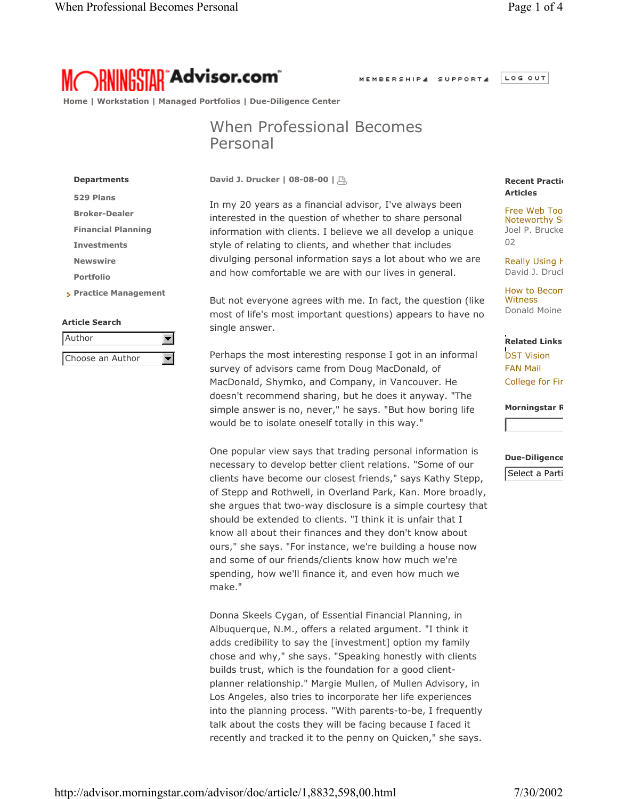MEMBERSHIP4 SUPPORT4

LOG OUT

**RNINGSTAR Advisor.com** 

 **Home | Workstation | Managed Portfolios | Due-Diligence Center**

## When Professional Becomes Personal

**David J. Drucker | 08-08-00 |** 

In my 20 years as a financial advisor, I've always been interested in the question of whether to share personal information with clients. I believe we all develop a unique style of relating to clients, and whether that includes divulging personal information says a lot about who we are and how comfortable we are with our lives in general.

But not everyone agrees with me. In fact, the question (like most of life's most important questions) appears to have no single answer.

Perhaps the most interesting response I got in an informal survey of advisors came from Doug MacDonald, of MacDonald, Shymko, and Company, in Vancouver. He doesn't recommend sharing, but he does it anyway. "The simple answer is no, never," he says. "But how boring life would be to isolate oneself totally in this way."

One popular view says that trading personal information is necessary to develop better client relations. "Some of our clients have become our closest friends," says Kathy Stepp, of Stepp and Rothwell, in Overland Park, Kan. More broadly, she argues that two-way disclosure is a simple courtesy that should be extended to clients. "I think it is unfair that I know all about their finances and they don't know about ours," she says. "For instance, we're building a house now and some of our friends/clients know how much we're spending, how we'll finance it, and even how much we make."

Donna Skeels Cygan, of Essential Financial Planning, in Albuquerque, N.M., offers a related argument. "I think it adds credibility to say the [investment] option my family chose and why," she says. "Speaking honestly with clients builds trust, which is the foundation for a good clientplanner relationship." Margie Mullen, of Mullen Advisory, in Los Angeles, also tries to incorporate her life experiences into the planning process. "With parents-to-be, I frequently talk about the costs they will be facing because I faced it recently and tracked it to the penny on Quicken," she says.

## **Recent Praction Articles**

Free Web Too Noteworthy Si Joel P. Brucke 02

Really Using H David J. Druck

How to Becom **Witness** Donald Moine

**Related Links** DST Vision FAN Mail College for Fin

**Morningstar R**

## **Due-Diligence**

Select a Parti

**Departments 529 Plans Broker-Dealer Financial Planning Investments Newswire Portfolio Practice Management**

## **Article Search**

| Author           |  |
|------------------|--|
|                  |  |
| Choose an Author |  |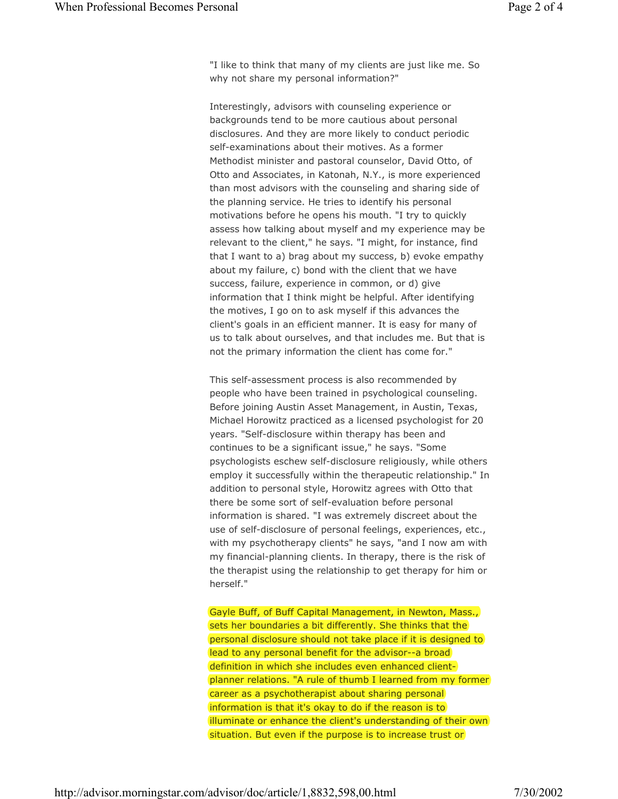"I like to think that many of my clients are just like me. So why not share my personal information?"

Interestingly, advisors with counseling experience or backgrounds tend to be more cautious about personal disclosures. And they are more likely to conduct periodic self-examinations about their motives. As a former Methodist minister and pastoral counselor, David Otto, of Otto and Associates, in Katonah, N.Y., is more experienced than most advisors with the counseling and sharing side of the planning service. He tries to identify his personal motivations before he opens his mouth. "I try to quickly assess how talking about myself and my experience may be relevant to the client," he says. "I might, for instance, find that I want to a) brag about my success, b) evoke empathy about my failure, c) bond with the client that we have success, failure, experience in common, or d) give information that I think might be helpful. After identifying the motives, I go on to ask myself if this advances the client's goals in an efficient manner. It is easy for many of us to talk about ourselves, and that includes me. But that is not the primary information the client has come for."

This self-assessment process is also recommended by people who have been trained in psychological counseling. Before joining Austin Asset Management, in Austin, Texas, Michael Horowitz practiced as a licensed psychologist for 20 years. "Self-disclosure within therapy has been and continues to be a significant issue," he says. "Some psychologists eschew self-disclosure religiously, while others employ it successfully within the therapeutic relationship." In addition to personal style, Horowitz agrees with Otto that there be some sort of self-evaluation before personal information is shared. "I was extremely discreet about the use of self-disclosure of personal feelings, experiences, etc., with my psychotherapy clients" he says, "and I now am with my financial-planning clients. In therapy, there is the risk of the therapist using the relationship to get therapy for him or herself."

Gayle Buff, of Buff Capital Management, in Newton, Mass., sets her boundaries a bit differently. She thinks that the personal disclosure should not take place if it is designed to lead to any personal benefit for the advisor--a broad definition in which she includes even enhanced clientplanner relations. "A rule of thumb I learned from my former career as a psychotherapist about sharing personal information is that it's okay to do if the reason is to illuminate or enhance the client's understanding of their own situation. But even if the purpose is to increase trust or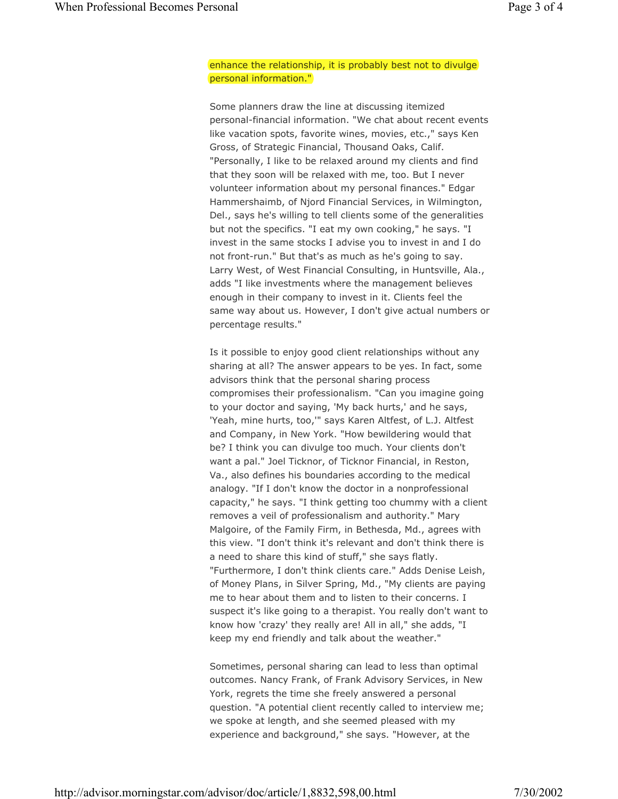enhance the relationship, it is probably best not to divulge personal information."

Some planners draw the line at discussing itemized personal-financial information. "We chat about recent events like vacation spots, favorite wines, movies, etc.," says Ken Gross, of Strategic Financial, Thousand Oaks, Calif. "Personally, I like to be relaxed around my clients and find that they soon will be relaxed with me, too. But I never volunteer information about my personal finances." Edgar Hammershaimb, of Njord Financial Services, in Wilmington, Del., says he's willing to tell clients some of the generalities but not the specifics. "I eat my own cooking," he says. "I invest in the same stocks I advise you to invest in and I do not front-run." But that's as much as he's going to say. Larry West, of West Financial Consulting, in Huntsville, Ala., adds "I like investments where the management believes enough in their company to invest in it. Clients feel the same way about us. However, I don't give actual numbers or percentage results."

Is it possible to enjoy good client relationships without any sharing at all? The answer appears to be yes. In fact, some advisors think that the personal sharing process compromises their professionalism. "Can you imagine going to your doctor and saying, 'My back hurts,' and he says, 'Yeah, mine hurts, too,'" says Karen Altfest, of L.J. Altfest and Company, in New York. "How bewildering would that be? I think you can divulge too much. Your clients don't want a pal." Joel Ticknor, of Ticknor Financial, in Reston, Va., also defines his boundaries according to the medical analogy. "If I don't know the doctor in a nonprofessional capacity," he says. "I think getting too chummy with a client removes a veil of professionalism and authority." Mary Malgoire, of the Family Firm, in Bethesda, Md., agrees with this view. "I don't think it's relevant and don't think there is a need to share this kind of stuff," she says flatly. "Furthermore, I don't think clients care." Adds Denise Leish, of Money Plans, in Silver Spring, Md., "My clients are paying me to hear about them and to listen to their concerns. I suspect it's like going to a therapist. You really don't want to know how 'crazy' they really are! All in all," she adds, "I keep my end friendly and talk about the weather."

Sometimes, personal sharing can lead to less than optimal outcomes. Nancy Frank, of Frank Advisory Services, in New York, regrets the time she freely answered a personal question. "A potential client recently called to interview me; we spoke at length, and she seemed pleased with my experience and background," she says. "However, at the